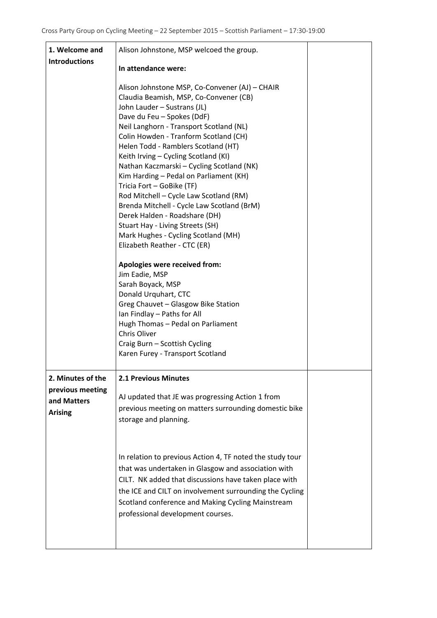| 1. Welcome and                                    | Alison Johnstone, MSP welcoed the group.                                                                                                                                                                                                                                                                                                                                                                                                                                                                                                                                                                                                                                                                                                                                                                                                                                                                                                                                         |  |
|---------------------------------------------------|----------------------------------------------------------------------------------------------------------------------------------------------------------------------------------------------------------------------------------------------------------------------------------------------------------------------------------------------------------------------------------------------------------------------------------------------------------------------------------------------------------------------------------------------------------------------------------------------------------------------------------------------------------------------------------------------------------------------------------------------------------------------------------------------------------------------------------------------------------------------------------------------------------------------------------------------------------------------------------|--|
| <b>Introductions</b>                              | In attendance were:                                                                                                                                                                                                                                                                                                                                                                                                                                                                                                                                                                                                                                                                                                                                                                                                                                                                                                                                                              |  |
|                                                   | Alison Johnstone MSP, Co-Convener (AJ) - CHAIR<br>Claudia Beamish, MSP, Co-Convener (CB)<br>John Lauder - Sustrans (JL)<br>Dave du Feu - Spokes (DdF)<br>Neil Langhorn - Transport Scotland (NL)<br>Colin Howden - Tranform Scotland (CH)<br>Helen Todd - Ramblers Scotland (HT)<br>Keith Irving - Cycling Scotland (KI)<br>Nathan Kaczmarski – Cycling Scotland (NK)<br>Kim Harding - Pedal on Parliament (KH)<br>Tricia Fort - GoBike (TF)<br>Rod Mitchell - Cycle Law Scotland (RM)<br>Brenda Mitchell - Cycle Law Scotland (BrM)<br>Derek Halden - Roadshare (DH)<br>Stuart Hay - Living Streets (SH)<br>Mark Hughes - Cycling Scotland (MH)<br>Elizabeth Reather - CTC (ER)<br>Apologies were received from:<br>Jim Eadie, MSP<br>Sarah Boyack, MSP<br>Donald Urquhart, CTC<br>Greg Chauvet - Glasgow Bike Station<br>Ian Findlay - Paths for All<br>Hugh Thomas - Pedal on Parliament<br>Chris Oliver<br>Craig Burn - Scottish Cycling<br>Karen Furey - Transport Scotland |  |
| 2. Minutes of the                                 | <b>2.1 Previous Minutes</b>                                                                                                                                                                                                                                                                                                                                                                                                                                                                                                                                                                                                                                                                                                                                                                                                                                                                                                                                                      |  |
| previous meeting<br>and Matters<br><b>Arising</b> | AJ updated that JE was progressing Action 1 from<br>previous meeting on matters surrounding domestic bike<br>storage and planning.                                                                                                                                                                                                                                                                                                                                                                                                                                                                                                                                                                                                                                                                                                                                                                                                                                               |  |
|                                                   | In relation to previous Action 4, TF noted the study tour<br>that was undertaken in Glasgow and association with<br>CILT. NK added that discussions have taken place with<br>the ICE and CILT on involvement surrounding the Cycling<br>Scotland conference and Making Cycling Mainstream<br>professional development courses.                                                                                                                                                                                                                                                                                                                                                                                                                                                                                                                                                                                                                                                   |  |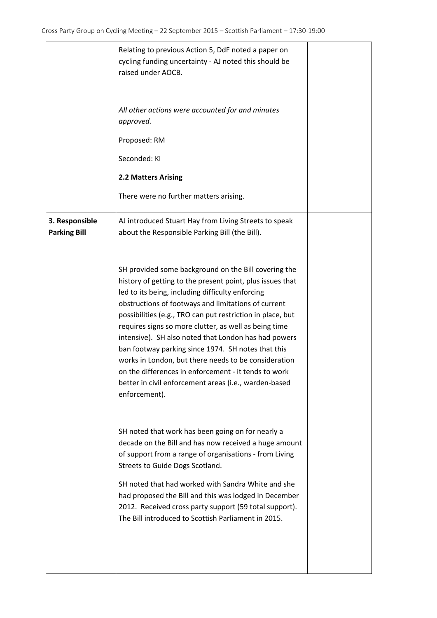|                                       | Relating to previous Action 5, DdF noted a paper on<br>cycling funding uncertainty - AJ noted this should be<br>raised under AOCB.<br>All other actions were accounted for and minutes<br>approved.<br>Proposed: RM<br>Seconded: KI<br>2.2 Matters Arising<br>There were no further matters arising.                                                                                                                                                                                                                                                                                                                                                                                         |  |
|---------------------------------------|----------------------------------------------------------------------------------------------------------------------------------------------------------------------------------------------------------------------------------------------------------------------------------------------------------------------------------------------------------------------------------------------------------------------------------------------------------------------------------------------------------------------------------------------------------------------------------------------------------------------------------------------------------------------------------------------|--|
| 3. Responsible<br><b>Parking Bill</b> | AJ introduced Stuart Hay from Living Streets to speak<br>about the Responsible Parking Bill (the Bill).<br>SH provided some background on the Bill covering the<br>history of getting to the present point, plus issues that<br>led to its being, including difficulty enforcing<br>obstructions of footways and limitations of current<br>possibilities (e.g., TRO can put restriction in place, but<br>requires signs so more clutter, as well as being time<br>intensive). SH also noted that London has had powers<br>ban footway parking since 1974. SH notes that this<br>works in London, but there needs to be consideration<br>on the differences in enforcement - it tends to work |  |
|                                       | better in civil enforcement areas (i.e., warden-based<br>enforcement).<br>SH noted that work has been going on for nearly a<br>decade on the Bill and has now received a huge amount<br>of support from a range of organisations - from Living<br>Streets to Guide Dogs Scotland.<br>SH noted that had worked with Sandra White and she<br>had proposed the Bill and this was lodged in December<br>2012. Received cross party support (59 total support).<br>The Bill introduced to Scottish Parliament in 2015.                                                                                                                                                                            |  |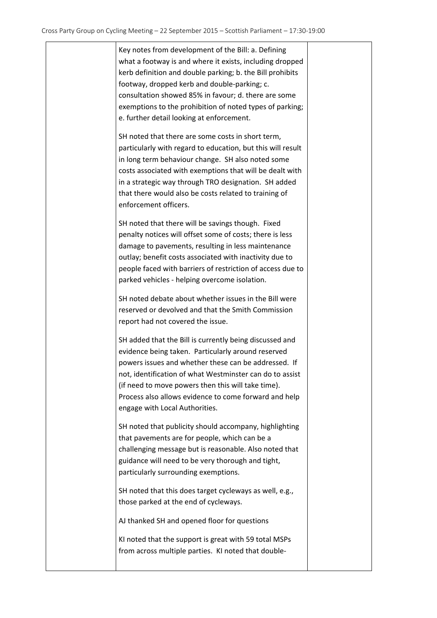Key notes from development of the Bill: a. Defining what a footway is and where it exists, including dropped kerb definition and double parking; b. the Bill prohibits footway, dropped kerb and double‐parking; c. consultation showed 85% in favour; d. there are some exemptions to the prohibition of noted types of parking; e. further detail looking at enforcement.

SH noted that there are some costs in short term, particularly with regard to education, but this will result in long term behaviour change. SH also noted some costs associated with exemptions that will be dealt with in a strategic way through TRO designation. SH added that there would also be costs related to training of enforcement officers.

SH noted that there will be savings though. Fixed penalty notices will offset some of costs; there is less damage to pavements, resulting in less maintenance outlay; benefit costs associated with inactivity due to people faced with barriers of restriction of access due to parked vehicles ‐ helping overcome isolation.

SH noted debate about whether issues in the Bill were reserved or devolved and that the Smith Commission report had not covered the issue.

SH added that the Bill is currently being discussed and evidence being taken. Particularly around reserved powers issues and whether these can be addressed. If not, identification of what Westminster can do to assist (if need to move powers then this will take time). Process also allows evidence to come forward and help engage with Local Authorities.

SH noted that publicity should accompany, highlighting that pavements are for people, which can be a challenging message but is reasonable. Also noted that guidance will need to be very thorough and tight, particularly surrounding exemptions.

SH noted that this does target cycleways as well, e.g., those parked at the end of cycleways.

AJ thanked SH and opened floor for questions

KI noted that the support is great with 59 total MSPs from across multiple parties. KI noted that double‐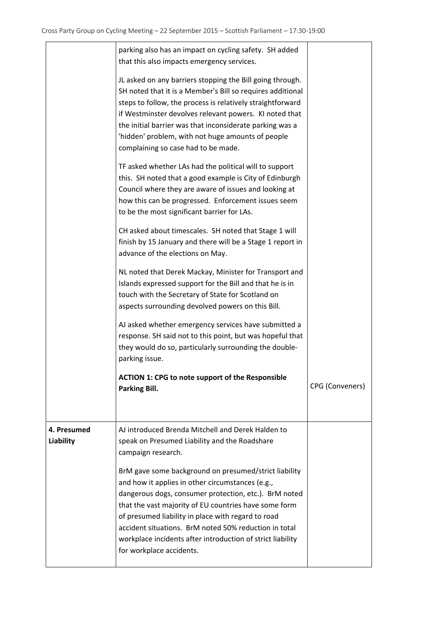|                          | parking also has an impact on cycling safety. SH added<br>that this also impacts emergency services.                                                                                                                                                                                                                                                                                                                                 |                 |
|--------------------------|--------------------------------------------------------------------------------------------------------------------------------------------------------------------------------------------------------------------------------------------------------------------------------------------------------------------------------------------------------------------------------------------------------------------------------------|-----------------|
|                          | JL asked on any barriers stopping the Bill going through.<br>SH noted that it is a Member's Bill so requires additional<br>steps to follow, the process is relatively straightforward<br>if Westminster devolves relevant powers. KI noted that<br>the initial barrier was that inconsiderate parking was a<br>'hidden' problem, with not huge amounts of people<br>complaining so case had to be made.                              |                 |
|                          | TF asked whether LAs had the political will to support<br>this. SH noted that a good example is City of Edinburgh<br>Council where they are aware of issues and looking at<br>how this can be progressed. Enforcement issues seem<br>to be the most significant barrier for LAs.                                                                                                                                                     |                 |
|                          | CH asked about timescales. SH noted that Stage 1 will<br>finish by 15 January and there will be a Stage 1 report in<br>advance of the elections on May.                                                                                                                                                                                                                                                                              |                 |
|                          | NL noted that Derek Mackay, Minister for Transport and<br>Islands expressed support for the Bill and that he is in<br>touch with the Secretary of State for Scotland on<br>aspects surrounding devolved powers on this Bill.                                                                                                                                                                                                         |                 |
|                          | AJ asked whether emergency services have submitted a<br>response. SH said not to this point, but was hopeful that<br>they would do so, particularly surrounding the double-<br>parking issue.                                                                                                                                                                                                                                        |                 |
|                          | <b>ACTION 1: CPG to note support of the Responsible</b><br>Parking Bill.                                                                                                                                                                                                                                                                                                                                                             | CPG (Conveners) |
| 4. Presumed<br>Liability | AJ introduced Brenda Mitchell and Derek Halden to<br>speak on Presumed Liability and the Roadshare<br>campaign research.                                                                                                                                                                                                                                                                                                             |                 |
|                          | BrM gave some background on presumed/strict liability<br>and how it applies in other circumstances (e.g.,<br>dangerous dogs, consumer protection, etc.). BrM noted<br>that the vast majority of EU countries have some form<br>of presumed liability in place with regard to road<br>accident situations. BrM noted 50% reduction in total<br>workplace incidents after introduction of strict liability<br>for workplace accidents. |                 |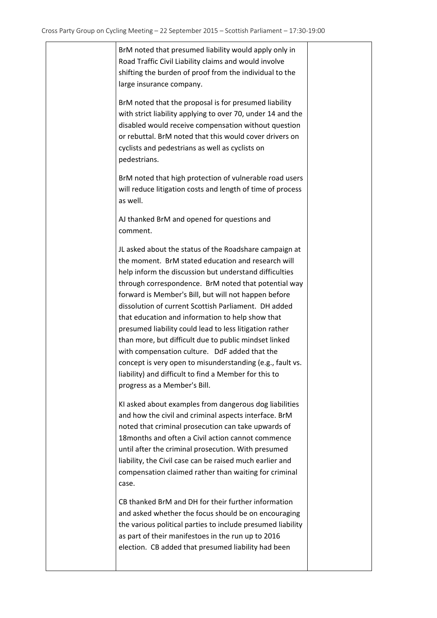BrM noted that presumed liability would apply only in Road Traffic Civil Liability claims and would involve shifting the burden of proof from the individual to the large insurance company.

BrM noted that the proposal is for presumed liability with strict liability applying to over 70, under 14 and the disabled would receive compensation without question or rebuttal. BrM noted that this would cover drivers on cyclists and pedestrians as well as cyclists on pedestrians.

BrM noted that high protection of vulnerable road users will reduce litigation costs and length of time of process as well.

AJ thanked BrM and opened for questions and comment.

JL asked about the status of the Roadshare campaign at the moment. BrM stated education and research will help inform the discussion but understand difficulties through correspondence. BrM noted that potential way forward is Member's Bill, but will not happen before dissolution of current Scottish Parliament. DH added that education and information to help show that presumed liability could lead to less litigation rather than more, but difficult due to public mindset linked with compensation culture. DdF added that the concept is very open to misunderstanding (e.g., fault vs. liability) and difficult to find a Member for this to progress as a Member's Bill.

KI asked about examples from dangerous dog liabilities and how the civil and criminal aspects interface. BrM noted that criminal prosecution can take upwards of 18months and often a Civil action cannot commence until after the criminal prosecution. With presumed liability, the Civil case can be raised much earlier and compensation claimed rather than waiting for criminal case.

CB thanked BrM and DH for their further information and asked whether the focus should be on encouraging the various political parties to include presumed liability as part of their manifestoes in the run up to 2016 election. CB added that presumed liability had been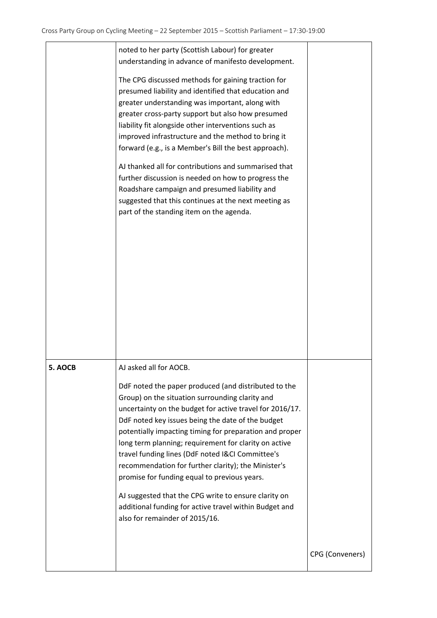|         | noted to her party (Scottish Labour) for greater<br>understanding in advance of manifesto development.<br>The CPG discussed methods for gaining traction for<br>presumed liability and identified that education and<br>greater understanding was important, along with<br>greater cross-party support but also how presumed<br>liability fit alongside other interventions such as<br>improved infrastructure and the method to bring it<br>forward (e.g., is a Member's Bill the best approach).<br>AJ thanked all for contributions and summarised that<br>further discussion is needed on how to progress the<br>Roadshare campaign and presumed liability and<br>suggested that this continues at the next meeting as<br>part of the standing item on the agenda. |                 |
|---------|------------------------------------------------------------------------------------------------------------------------------------------------------------------------------------------------------------------------------------------------------------------------------------------------------------------------------------------------------------------------------------------------------------------------------------------------------------------------------------------------------------------------------------------------------------------------------------------------------------------------------------------------------------------------------------------------------------------------------------------------------------------------|-----------------|
| 5. AOCB | AJ asked all for AOCB.<br>DdF noted the paper produced (and distributed to the<br>Group) on the situation surrounding clarity and<br>uncertainty on the budget for active travel for 2016/17.<br>DdF noted key issues being the date of the budget<br>potentially impacting timing for preparation and proper<br>long term planning; requirement for clarity on active<br>travel funding lines (DdF noted I&CI Committee's<br>recommendation for further clarity); the Minister's<br>promise for funding equal to previous years.<br>AJ suggested that the CPG write to ensure clarity on<br>additional funding for active travel within Budget and<br>also for remainder of 2015/16.                                                                                  |                 |
|         |                                                                                                                                                                                                                                                                                                                                                                                                                                                                                                                                                                                                                                                                                                                                                                        | CPG (Conveners) |